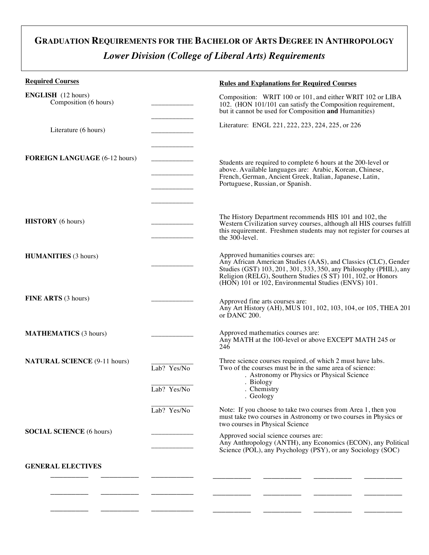## **GRADUATION REQUIREMENTS FOR THE BACHELOR OF ARTS DEGREE IN ANTHROPOLOGY** *Lower Division (College of Liberal Arts) Requirements*

| <b>Required Courses</b>                            |                            | <b>Rules and Explanations for Required Courses</b>                                                                                                                                                                                                                                             |
|----------------------------------------------------|----------------------------|------------------------------------------------------------------------------------------------------------------------------------------------------------------------------------------------------------------------------------------------------------------------------------------------|
| <b>ENGLISH</b> (12 hours)<br>Composition (6 hours) |                            | Composition: WRIT 100 or 101, and either WRIT 102 or LIBA<br>102. (HON 101/101 can satisfy the Composition requirement,<br>but it cannot be used for Composition and Humanities)                                                                                                               |
| Literature (6 hours)                               |                            | Literature: ENGL 221, 222, 223, 224, 225, or 226                                                                                                                                                                                                                                               |
| <b>FOREIGN LANGUAGE (6-12 hours)</b>               |                            | Students are required to complete 6 hours at the 200-level or<br>above. Available languages are: Arabic, Korean, Chinese,<br>French, German, Ancient Greek, Italian, Japanese, Latin,<br>Portuguese, Russian, or Spanish.                                                                      |
| <b>HISTORY</b> (6 hours)                           |                            | The History Department recommends HIS 101 and 102, the<br>Western Civilization survey courses, although all HIS courses fulfill<br>this requirement. Freshmen students may not register for courses at<br>the $300$ -level.                                                                    |
| <b>HUMANITIES</b> (3 hours)                        |                            | Approved humanities courses are:<br>Any African American Studies (AAS), and Classics (CLC), Gender<br>Studies (GST) 103, 201, 301, 333, 350, any Philosophy (PHIL), any<br>Religion (RELG), Southern Studies (S ST) 101, 102, or Honors<br>(HON) 101 or 102, Environmental Studies (ENVS) 101. |
| FINE ARTS (3 hours)                                |                            | Approved fine arts courses are:<br>Any Art History (AH), MUS 101, 102, 103, 104, or 105, THEA 201<br>or DANC 200.                                                                                                                                                                              |
| <b>MATHEMATICS</b> (3 hours)                       |                            | Approved mathematics courses are:<br>Any MATH at the 100-level or above EXCEPT MATH 245 or<br>246                                                                                                                                                                                              |
| <b>NATURAL SCIENCE (9-11 hours)</b>                | Lab? Yes/No<br>Lab? Yes/No | Three science courses required, of which 2 must have labs.<br>Two of the courses must be in the same area of science:<br>. Astronomy or Physics or Physical Science<br>. Biology<br>. Chemistry                                                                                                |
|                                                    | Lab? Yes/No                | . Geology<br>Note: If you choose to take two courses from Area 1, then you<br>must take two courses in Astronomy or two courses in Physics or<br>two courses in Physical Science                                                                                                               |
| <b>SOCIAL SCIENCE</b> (6 hours)                    |                            | Approved social science courses are:<br>Any Anthropology (ANTH), any Economics (ECON), any Political<br>Science (POL), any Psychology (PSY), or any Sociology (SOC)                                                                                                                            |
| <b>GENERAL ELECTIVES</b>                           |                            |                                                                                                                                                                                                                                                                                                |
|                                                    |                            |                                                                                                                                                                                                                                                                                                |